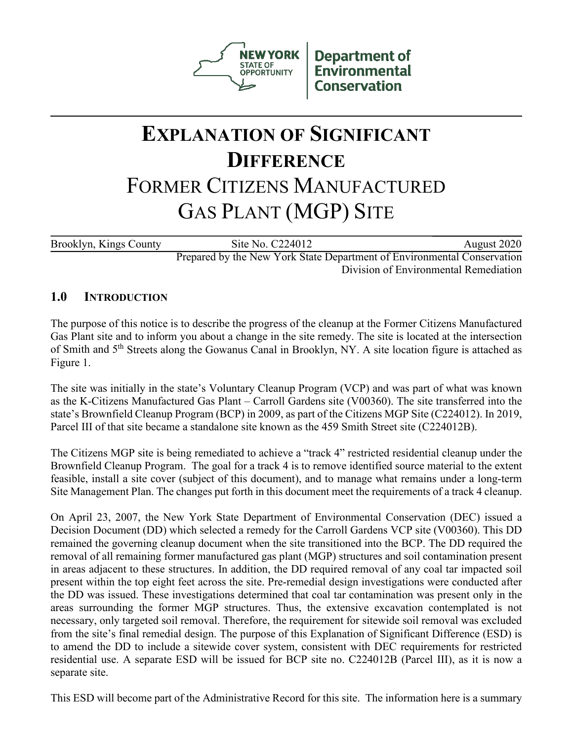

**Department of Environmental Conservation** 

# **EXPLANATION OF SIGNIFICANT DIFFERENCE** FORMER CITIZENS MANUFACTURED GAS PLANT (MGP) SITE

Brooklyn, Kings County Site No. C224012 August 2020 Prepared by the New York State Department of Environmental Conservation

Division of Environmental Remediation

# **1.0 INTRODUCTION**

The purpose of this notice is to describe the progress of the cleanup at the Former Citizens Manufactured Gas Plant site and to inform you about a change in the site remedy. The site is located at the intersection of Smith and 5th Streets along the Gowanus Canal in Brooklyn, NY. A site location figure is attached as Figure 1.

The site was initially in the state's Voluntary Cleanup Program (VCP) and was part of what was known as the K-Citizens Manufactured Gas Plant – Carroll Gardens site (V00360). The site transferred into the state's Brownfield Cleanup Program (BCP) in 2009, as part of the Citizens MGP Site (C224012). In 2019, Parcel III of that site became a standalone site known as the 459 Smith Street site (C224012B).

The Citizens MGP site is being remediated to achieve a "track 4" restricted residential cleanup under the Brownfield Cleanup Program. The goal for a track 4 is to remove identified source material to the extent feasible, install a site cover (subject of this document), and to manage what remains under a long-term Site Management Plan. The changes put forth in this document meet the requirements of a track 4 cleanup.

On April 23, 2007, the New York State Department of Environmental Conservation (DEC) issued a Decision Document (DD) which selected a remedy for the Carroll Gardens VCP site (V00360). This DD remained the governing cleanup document when the site transitioned into the BCP. The DD required the removal of all remaining former manufactured gas plant (MGP) structures and soil contamination present in areas adjacent to these structures. In addition, the DD required removal of any coal tar impacted soil present within the top eight feet across the site. Pre-remedial design investigations were conducted after the DD was issued. These investigations determined that coal tar contamination was present only in the areas surrounding the former MGP structures. Thus, the extensive excavation contemplated is not necessary, only targeted soil removal. Therefore, the requirement for sitewide soil removal was excluded from the site's final remedial design. The purpose of this Explanation of Significant Difference (ESD) is to amend the DD to include a sitewide cover system, consistent with DEC requirements for restricted residential use. A separate ESD will be issued for BCP site no. C224012B (Parcel III), as it is now a separate site.

This ESD will become part of the Administrative Record for this site. The information here is a summary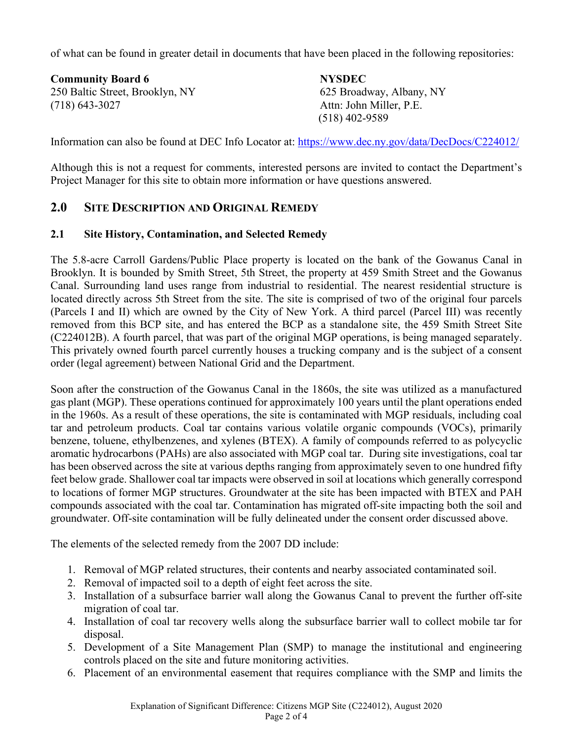of what can be found in greater detail in documents that have been placed in the following repositories:

**Community Board 6 NYSDEC** 250 Baltic Street, Brooklyn, NY 625 Broadway, Albany, NY (718) 643-3027 Attn: John Miller, P.E.

(518) 402-9589

Information can also be found at DEC Info Locator at:<https://www.dec.ny.gov/data/DecDocs/C224012/>

Although this is not a request for comments, interested persons are invited to contact the Department's Project Manager for this site to obtain more information or have questions answered.

# **2.0 SITE DESCRIPTION AND ORIGINAL REMEDY**

#### **2.1 Site History, Contamination, and Selected Remedy**

The 5.8-acre Carroll Gardens/Public Place property is located on the bank of the Gowanus Canal in Brooklyn. It is bounded by Smith Street, 5th Street, the property at 459 Smith Street and the Gowanus Canal. Surrounding land uses range from industrial to residential. The nearest residential structure is located directly across 5th Street from the site. The site is comprised of two of the original four parcels (Parcels I and II) which are owned by the City of New York. A third parcel (Parcel III) was recently removed from this BCP site, and has entered the BCP as a standalone site, the 459 Smith Street Site (C224012B). A fourth parcel, that was part of the original MGP operations, is being managed separately. This privately owned fourth parcel currently houses a trucking company and is the subject of a consent order (legal agreement) between National Grid and the Department.

Soon after the construction of the Gowanus Canal in the 1860s, the site was utilized as a manufactured gas plant (MGP). These operations continued for approximately 100 years until the plant operations ended in the 1960s. As a result of these operations, the site is contaminated with MGP residuals, including coal tar and petroleum products. Coal tar contains various volatile organic compounds (VOCs), primarily benzene, toluene, ethylbenzenes, and xylenes (BTEX). A family of compounds referred to as polycyclic aromatic hydrocarbons (PAHs) are also associated with MGP coal tar. During site investigations, coal tar has been observed across the site at various depths ranging from approximately seven to one hundred fifty feet below grade. Shallower coal tar impacts were observed in soil at locations which generally correspond to locations of former MGP structures. Groundwater at the site has been impacted with BTEX and PAH compounds associated with the coal tar. Contamination has migrated off-site impacting both the soil and groundwater. Off-site contamination will be fully delineated under the consent order discussed above.

The elements of the selected remedy from the 2007 DD include:

- 1. Removal of MGP related structures, their contents and nearby associated contaminated soil.
- 2. Removal of impacted soil to a depth of eight feet across the site.
- 3. Installation of a subsurface barrier wall along the Gowanus Canal to prevent the further off-site migration of coal tar.
- 4. Installation of coal tar recovery wells along the subsurface barrier wall to collect mobile tar for disposal.
- 5. Development of a Site Management Plan (SMP) to manage the institutional and engineering controls placed on the site and future monitoring activities.
- 6. Placement of an environmental easement that requires compliance with the SMP and limits the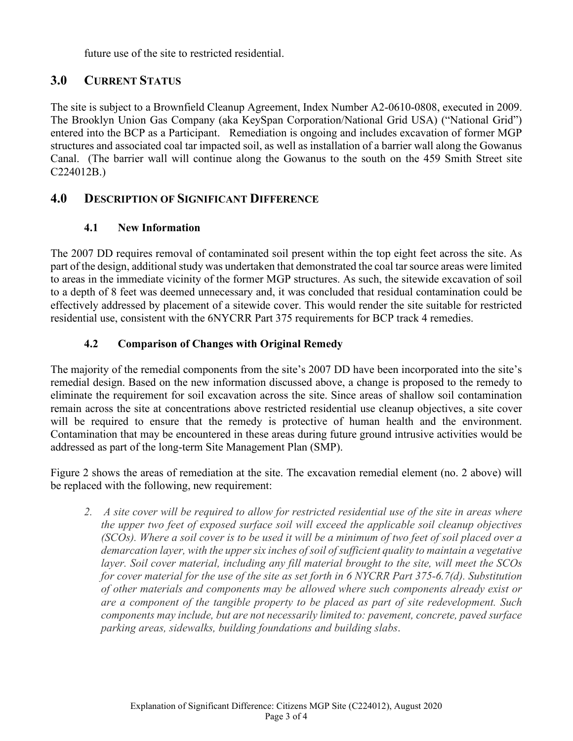future use of the site to restricted residential.

# **3.0 CURRENT STATUS**

The site is subject to a Brownfield Cleanup Agreement, Index Number A2-0610-0808, executed in 2009. The Brooklyn Union Gas Company (aka KeySpan Corporation/National Grid USA) ("National Grid") entered into the BCP as a Participant. Remediation is ongoing and includes excavation of former MGP structures and associated coal tar impacted soil, as well as installation of a barrier wall along the Gowanus Canal. (The barrier wall will continue along the Gowanus to the south on the 459 Smith Street site C224012B.)

# **4.0 DESCRIPTION OF SIGNIFICANT DIFFERENCE**

#### **4.1 New Information**

The 2007 DD requires removal of contaminated soil present within the top eight feet across the site. As part of the design, additional study was undertaken that demonstrated the coal tar source areas were limited to areas in the immediate vicinity of the former MGP structures. As such, the sitewide excavation of soil to a depth of 8 feet was deemed unnecessary and, it was concluded that residual contamination could be effectively addressed by placement of a sitewide cover. This would render the site suitable for restricted residential use, consistent with the 6NYCRR Part 375 requirements for BCP track 4 remedies.

# **4.2 Comparison of Changes with Original Remedy**

The majority of the remedial components from the site's 2007 DD have been incorporated into the site's remedial design. Based on the new information discussed above, a change is proposed to the remedy to eliminate the requirement for soil excavation across the site. Since areas of shallow soil contamination remain across the site at concentrations above restricted residential use cleanup objectives, a site cover will be required to ensure that the remedy is protective of human health and the environment. Contamination that may be encountered in these areas during future ground intrusive activities would be addressed as part of the long-term Site Management Plan (SMP).

Figure 2 shows the areas of remediation at the site. The excavation remedial element (no. 2 above) will be replaced with the following, new requirement:

*2. A site cover will be required to allow for restricted residential use of the site in areas where the upper two feet of exposed surface soil will exceed the applicable soil cleanup objectives (SCOs). Where a soil cover is to be used it will be a minimum of two feet of soil placed over a demarcation layer, with the upper six inches of soil of sufficient quality to maintain a vegetative layer. Soil cover material, including any fill material brought to the site, will meet the SCOs for cover material for the use of the site as set forth in 6 NYCRR Part 375-6.7(d). Substitution of other materials and components may be allowed where such components already exist or are a component of the tangible property to be placed as part of site redevelopment. Such components may include, but are not necessarily limited to: pavement, concrete, paved surface parking areas, sidewalks, building foundations and building slabs*.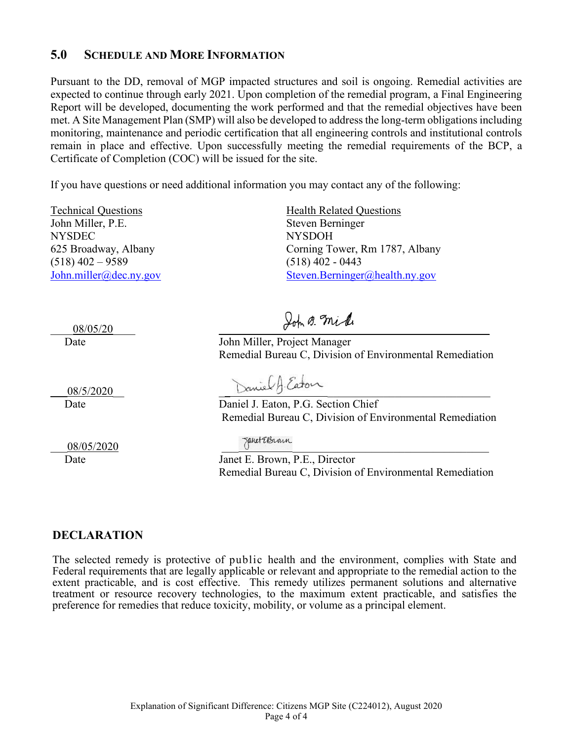#### **5.0 SCHEDULE AND MORE INFORMATION**

Pursuant to the DD, removal of MGP impacted structures and soil is ongoing. Remedial activities are expected to continue through early 2021. Upon completion of the remedial program, a Final Engineering Report will be developed, documenting the work performed and that the remedial objectives have been met. A Site Management Plan (SMP) will also be developed to address the long-term obligations including monitoring, maintenance and periodic certification that all engineering controls and institutional controls remain in place and effective. Upon successfully meeting the remedial requirements of the BCP, a Certificate of Completion (COC) will be issued for the site.

If you have questions or need additional information you may contact any of the following:

John Miller, P.E. Steven Berninger NYSDEC NYSDOH  $(518)$  402 – 9589 (518) 402 - 0443

Technical Questions **Health Related Questions** 625 Broadway, Albany Corning Tower, Rm 1787, Albany [John.miller@dec.ny.gov](mailto:John.miller@dec.ny.gov) [Steven.Berninger@health.ny.gov](mailto:Steven.Berninger@health.ny.gov)

\_\_\_\_08/05/20\_\_\_\_ \_\_\_\_\_\_\_\_\_\_ \_\_\_\_\_\_\_\_\_\_ \_\_\_\_\_\_\_\_\_\_\_\_

Date John Miller, Project Manager Remedial Bureau C, Division of Environmental Remediation

\_\_\_08/05/2020 \_\_\_ \_\_\_\_\_\_\_\_\_\_\_\_\_\_\_\_\_\_\_\_\_\_\_\_\_\_\_\_\_\_\_\_\_\_\_

08/5/2020 Daniel A. Eaton

Date Daniel J. Eaton, P.G. Section Chief Remedial Bureau C, Division of Environmental Remediation

Date Janet E. Brown, P.E., Director Remedial Bureau C, Division of Environmental Remediation

#### **DECLARATION**

The selected remedy is protective of public health and the environment, complies with State and Federal requirements that are legally applicable or relevant and appropriate to the remedial action to the extent practicable, and is cost effective. This remedy utilizes permanent solutions and alternative treatment or resource recovery technologies, to the maximum extent practicable, and satisfies the preference for remedies that reduce toxicity, mobility, or volume as a principal element.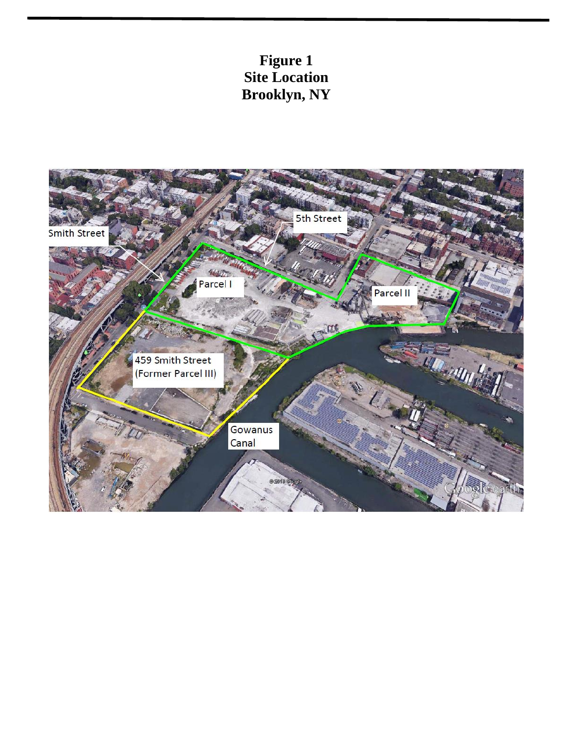# **Figure 1 Site Location Brooklyn, NY**